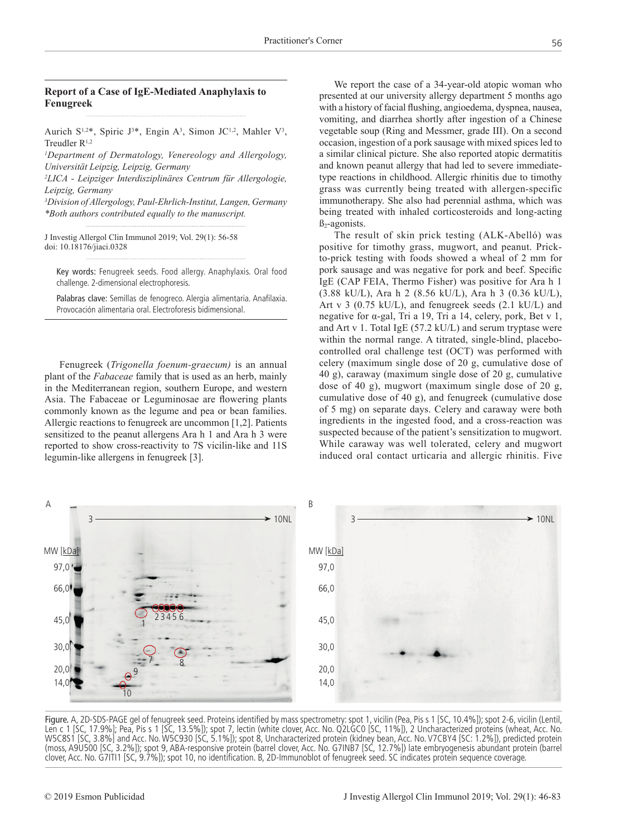### **Report of a Case of IgE-Mediated Anaphylaxis to Fenugreek**

Aurich S<sup>1,2\*</sup>, Spiric J<sup>3\*</sup>, Engin A<sup>3</sup>, Simon JC<sup>1,2</sup>, Mahler V<sup>3</sup>, Treudler R<sup>1,2</sup>

*1 Department of Dermatology, Venereology and Allergology, Universität Leipzig, Leipzig, Germany* 

*2 LICA - Leipziger Interdisziplinäres Centrum für Allergologie, Leipzig, Germany*

*3 Division of Allergology, Paul-Ehrlich-Institut, Langen, Germany \*Both authors contributed equally to the manuscript.*

J Investig Allergol Clin Immunol 2019; Vol. 29(1): 56-58 doi: 10.18176/jiaci.0328

Key words: Fenugreek seeds. Food allergy. Anaphylaxis. Oral food challenge. 2-dimensional electrophoresis.

Palabras clave: Semillas de fenogreco. Alergia alimentaria. Anafilaxia. Provocación alimentaria oral. Electroforesis bidimensional.

Fenugreek (*Trigonella foenum-graecum)* is an annual plant of the *Fabaceae* family that is used as an herb, mainly in the Mediterranean region, southern Europe, and western Asia. The Fabaceae or Leguminosae are flowering plants commonly known as the legume and pea or bean families. Allergic reactions to fenugreek are uncommon [1,2]. Patients sensitized to the peanut allergens Ara h 1 and Ara h 3 were reported to show cross-reactivity to 7S vicilin-like and 11S legumin-like allergens in fenugreek [3].

We report the case of a 34-year-old atopic woman who presented at our university allergy department 5 months ago with a history of facial flushing, angioedema, dyspnea, nausea, vomiting, and diarrhea shortly after ingestion of a Chinese vegetable soup (Ring and Messmer, grade III). On a second occasion, ingestion of a pork sausage with mixed spices led to a similar clinical picture. She also reported atopic dermatitis and known peanut allergy that had led to severe immediatetype reactions in childhood. Allergic rhinitis due to timothy grass was currently being treated with allergen-specific immunotherapy. She also had perennial asthma, which was being treated with inhaled corticosteroids and long-acting  $\beta_2$ -agonists.

The result of skin prick testing (ALK-Abelló) was positive for timothy grass, mugwort, and peanut. Prickto-prick testing with foods showed a wheal of 2 mm for pork sausage and was negative for pork and beef. Specific IgE (CAP FEIA, Thermo Fisher) was positive for Ara h 1 (3.88 kU/L), Ara h 2 (8.56 kU/L), Ara h 3 (0.36 kU/L), Art v 3 (0.75 kU/L), and fenugreek seeds (2.1 kU/L) and negative for α-gal, Tri a 19, Tri a 14, celery, pork, Bet v 1, and Art v 1. Total IgE (57.2 kU/L) and serum tryptase were within the normal range. A titrated, single-blind, placebocontrolled oral challenge test (OCT) was performed with celery (maximum single dose of 20 g, cumulative dose of 40 g), caraway (maximum single dose of 20 g, cumulative dose of 40 g), mugwort (maximum single dose of 20 g, cumulative dose of 40 g), and fenugreek (cumulative dose of 5 mg) on separate days. Celery and caraway were both ingredients in the ingested food, and a cross-reaction was suspected because of the patient's sensitization to mugwort. While caraway was well tolerated, celery and mugwort induced oral contact urticaria and allergic rhinitis. Five



Figure. A, 2D-SDS-PAGE gel of fenugreek seed. Proteins identified by mass spectrometry: spot 1, vicilin (Pea, Pis s 1 [SC, 10.4%]); spot 2-6, vicilin (Lentil, Len c 1 [SC, 17.9%]; Pea, Pis s 1 [SC, 13.5%]); spot 7, lectin (white clover, Acc. No. Q2LGC0 [SC, 11%]), 2 Uncharacterized proteins (wheat, Acc. No. W5C8S1 [SC, 3.8%] and Acc. No. W5C930 [SC, 5.1%]); spot 8, Uncharacterized protein (kidney bean, Acc. No. V7CBY4 [SC: 1.2%]), predicted protein (moss, A9U500 [SC, 3.2%]); spot 9, ABA-responsive protein (barrel clover, Acc. No. G7INB7 [SC, 12.7%]) late embryogenesis abundant protein (barrel clover, Acc. No. G7ITI1 [SC, 9.7%]); spot 10, no identification. B, 2D-Immunoblot of fenugreek seed. SC indicates protein sequence coverage.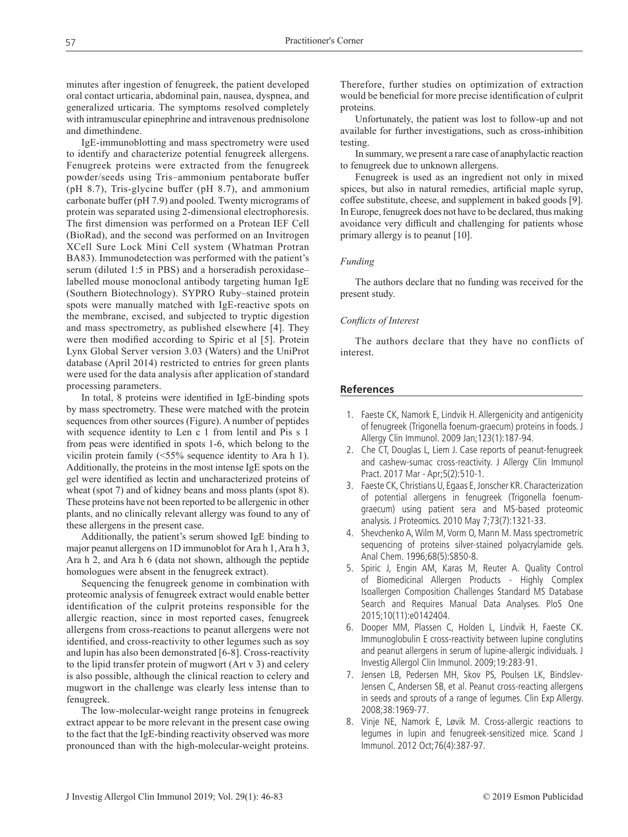minutes after ingestion of fenugreek, the patient developed oral contact urticaria, abdominal pain, nausea, dyspnea, and generalized urticaria. The symptoms resolved completely with intramuscular epinephrine and intravenous prednisolone and dimethindene.

IgE-immunoblotting and mass spectrometry were used to identify and characterize potential fenugreek allergens. Fenugreek proteins were extracted from the fenugreek powder/seeds using Tris–ammonium pentaborate buffer (pH 8.7), Tris-glycine buffer (pH 8.7), and ammonium carbonate buffer (pH 7.9) and pooled. Twenty micrograms of protein was separated using 2-dimensional electrophoresis. The first dimension was performed on a Protean IEF Cell (BioRad), and the second was performed on an Invitrogen XCell Sure Lock Mini Cell system (Whatman Protran BA83). Immunodetection was performed with the patient's serum (diluted 1:5 in PBS) and a horseradish peroxidase– labelled mouse monoclonal antibody targeting human IgE (Southern Biotechnology). SYPRO Ruby–stained protein spots were manually matched with IgE-reactive spots on the membrane, excised, and subjected to tryptic digestion and mass spectrometry, as published elsewhere [4]. They were then modified according to Spiric et al [5]. Protein Lynx Global Server version 3.03 (Waters) and the UniProt database (April 2014) restricted to entries for green plants were used for the data analysis after application of standard processing parameters.

In total, 8 proteins were identified in IgE-binding spots by mass spectrometry. These were matched with the protein sequences from other sources (Figure). A number of peptides with sequence identity to Len c 1 from lentil and Pis s 1 from peas were identified in spots 1-6, which belong to the vicilin protein family (<55% sequence identity to Ara h 1). Additionally, the proteins in the most intense IgE spots on the gel were identified as lectin and uncharacterized proteins of wheat (spot 7) and of kidney beans and moss plants (spot 8). These proteins have not been reported to be allergenic in other plants, and no clinically relevant allergy was found to any of these allergens in the present case.

Additionally, the patient's serum showed IgE binding to major peanut allergens on 1D immunoblot for Ara h 1, Ara h 3, Ara h 2, and Ara h 6 (data not shown, although the peptide homologues were absent in the fenugreek extract).

Sequencing the fenugreek genome in combination with proteomic analysis of fenugreek extract would enable better identification of the culprit proteins responsible for the allergic reaction, since in most reported cases, fenugreek allergens from cross-reactions to peanut allergens were not identified, and cross-reactivity to other legumes such as soy and lupin has also been demonstrated [6-8]. Cross-reactivity to the lipid transfer protein of mugwort (Art v 3) and celery is also possible, although the clinical reaction to celery and mugwort in the challenge was clearly less intense than to fenugreek.

The low-molecular-weight range proteins in fenugreek extract appear to be more relevant in the present case owing to the fact that the IgE-binding reactivity observed was more pronounced than with the high-molecular-weight proteins.

Therefore, further studies on optimization of extraction would be beneficial for more precise identification of culprit proteins.

Unfortunately, the patient was lost to follow-up and not available for further investigations, such as cross-inhibition testing.

In summary, we present a rare case of anaphylactic reaction to fenugreek due to unknown allergens.

Fenugreek is used as an ingredient not only in mixed spices, but also in natural remedies, artificial maple syrup, coffee substitute, cheese, and supplement in baked goods [9]. In Europe, fenugreek does not have to be declared, thus making avoidance very difficult and challenging for patients whose primary allergy is to peanut [10].

### *Funding*

The authors declare that no funding was received for the present study.

## *Conflicts of Interest*

The authors declare that they have no conflicts of interest.

### **References**

- 1. Faeste CK, Namork E, Lindvik H. Allergenicity and antigenicity of fenugreek (Trigonella foenum-graecum) proteins in foods. J Allergy Clin Immunol. 2009 Jan;123(1):187-94.
- 2. Che CT, Douglas L, Liem J. Case reports of peanut-fenugreek and cashew-sumac cross-reactivity. J Allergy Clin Immunol Pract. 2017 Mar - Apr;5(2):510-1.
- 3. Faeste CK, Christians U, Egaas E, Jonscher KR. Characterization of potential allergens in fenugreek (Trigonella foenumgraecum) using patient sera and MS-based proteomic analysis. J Proteomics. 2010 May 7;73(7):1321-33.
- 4. Shevchenko A, Wilm M, Vorm O, Mann M. Mass spectrometric sequencing of proteins silver-stained polyacrylamide gels. Anal Chem. 1996;68(5):S850-8.
- 5. Spiric J, Engin AM, Karas M, Reuter A. Quality Control of Biomedicinal Allergen Products - Highly Complex Isoallergen Composition Challenges Standard MS Database Search and Requires Manual Data Analyses. PloS One 2015;10(11):e0142404.
- 6. Dooper MM, Plassen C, Holden L, Lindvik H, Faeste CK. Immunoglobulin E cross-reactivity between lupine conglutins and peanut allergens in serum of lupine-allergic individuals. J Investig Allergol Clin Immunol. 2009;19:283-91.
- 7. Jensen LB, Pedersen MH, Skov PS, Poulsen LK, Bindslev-Jensen C, Andersen SB, et al. Peanut cross-reacting allergens in seeds and sprouts of a range of legumes. Clin Exp Allergy. 2008;38:1969-77.
- 8. Vinje NE, Namork E, Løvik M. Cross-allergic reactions to legumes in lupin and fenugreek-sensitized mice. Scand J Immunol. 2012 Oct;76(4):387-97.